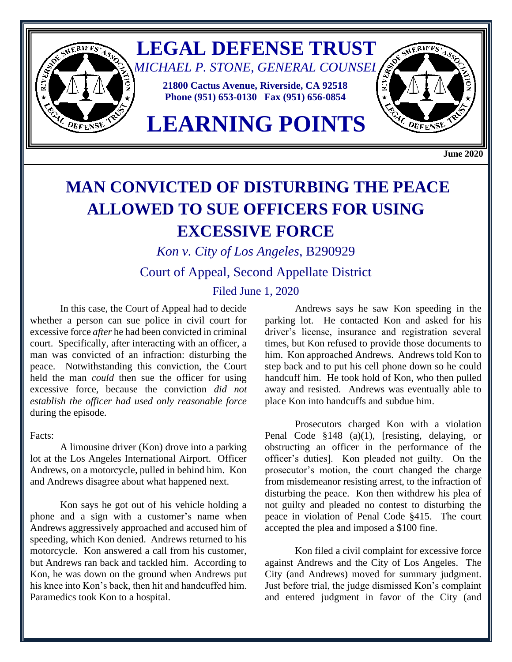

## **MAN CONVICTED OF DISTURBING THE PEACE ALLOWED TO SUE OFFICERS FOR USING EXCESSIVE FORCE**

*Kon v. City of Los Angeles*, B290929

Court of Appeal, Second Appellate District

## Filed June 1, 2020

In this case, the Court of Appeal had to decide whether a person can sue police in civil court for excessive force *after* he had been convicted in criminal court. Specifically, after interacting with an officer, a man was convicted of an infraction: disturbing the peace. Notwithstanding this conviction, the Court held the man *could* then sue the officer for using excessive force, because the conviction *did not establish the officer had used only reasonable force* during the episode.

Facts:

A limousine driver (Kon) drove into a parking lot at the Los Angeles International Airport. Officer Andrews, on a motorcycle, pulled in behind him. Kon and Andrews disagree about what happened next.

Kon says he got out of his vehicle holding a phone and a sign with a customer's name when Andrews aggressively approached and accused him of speeding, which Kon denied. Andrews returned to his motorcycle. Kon answered a call from his customer, but Andrews ran back and tackled him. According to Kon, he was down on the ground when Andrews put his knee into Kon's back, then hit and handcuffed him. Paramedics took Kon to a hospital.

Andrews says he saw Kon speeding in the parking lot. He contacted Kon and asked for his driver's license, insurance and registration several times, but Kon refused to provide those documents to him. Kon approached Andrews. Andrews told Kon to step back and to put his cell phone down so he could handcuff him. He took hold of Kon, who then pulled away and resisted. Andrews was eventually able to place Kon into handcuffs and subdue him.

Prosecutors charged Kon with a violation Penal Code §148 (a)(1), [resisting, delaying, or obstructing an officer in the performance of the officer's duties]. Kon pleaded not guilty. On the prosecutor's motion, the court changed the charge from misdemeanor resisting arrest, to the infraction of disturbing the peace. Kon then withdrew his plea of not guilty and pleaded no contest to disturbing the peace in violation of Penal Code §415. The court accepted the plea and imposed a \$100 fine.

Kon filed a civil complaint for excessive force against Andrews and the City of Los Angeles. The City (and Andrews) moved for summary judgment. Just before trial, the judge dismissed Kon's complaint and entered judgment in favor of the City (and